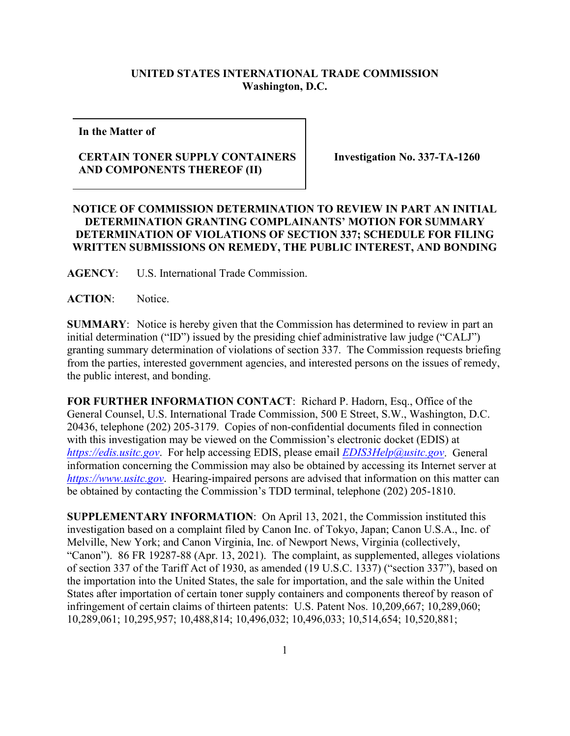## **UNITED STATES INTERNATIONAL TRADE COMMISSION Washington, D.C.**

**In the Matter of** 

## **CERTAIN TONER SUPPLY CONTAINERS AND COMPONENTS THEREOF (II)**

**Investigation No. 337-TA-1260** 

## **NOTICE OF COMMISSION DETERMINATION TO REVIEW IN PART AN INITIAL DETERMINATION GRANTING COMPLAINANTS' MOTION FOR SUMMARY DETERMINATION OF VIOLATIONS OF SECTION 337; SCHEDULE FOR FILING WRITTEN SUBMISSIONS ON REMEDY, THE PUBLIC INTEREST, AND BONDING**

**AGENCY**: U.S. International Trade Commission.

ACTION: Notice.

**SUMMARY:** Notice is hereby given that the Commission has determined to review in part an initial determination ("ID") issued by the presiding chief administrative law judge ("CALJ") granting summary determination of violations of section 337. The Commission requests briefing from the parties, interested government agencies, and interested persons on the issues of remedy, the public interest, and bonding.

**FOR FURTHER INFORMATION CONTACT**: Richard P. Hadorn, Esq., Office of the General Counsel, U.S. International Trade Commission, 500 E Street, S.W., Washington, D.C. 20436, telephone (202) 205-3179. Copies of non-confidential documents filed in connection with this investigation may be viewed on the Commission's electronic docket (EDIS) at *[https://edis.usitc.gov](https://edis.usitc.gov/)*. For help accessing EDIS, please email *[EDIS3Help@usitc.gov](mailto:EDIS3Help@usitc.gov)*. General information concerning the Commission may also be obtained by accessing its Internet server at *[https://www.usitc.gov](https://www.usitc.gov/)*. Hearing-impaired persons are advised that information on this matter can be obtained by contacting the Commission's TDD terminal, telephone (202) 205-1810.

**SUPPLEMENTARY INFORMATION**: On April 13, 2021, the Commission instituted this investigation based on a complaint filed by Canon Inc. of Tokyo, Japan; Canon U.S.A., Inc. of Melville, New York; and Canon Virginia, Inc. of Newport News, Virginia (collectively, "Canon"). 86 FR 19287-88 (Apr. 13, 2021). The complaint, as supplemented, alleges violations of section 337 of the Tariff Act of 1930, as amended (19 U.S.C. 1337) ("section 337"), based on the importation into the United States, the sale for importation, and the sale within the United States after importation of certain toner supply containers and components thereof by reason of infringement of certain claims of thirteen patents: U.S. Patent Nos. 10,209,667; 10,289,060; 10,289,061; 10,295,957; 10,488,814; 10,496,032; 10,496,033; 10,514,654; 10,520,881;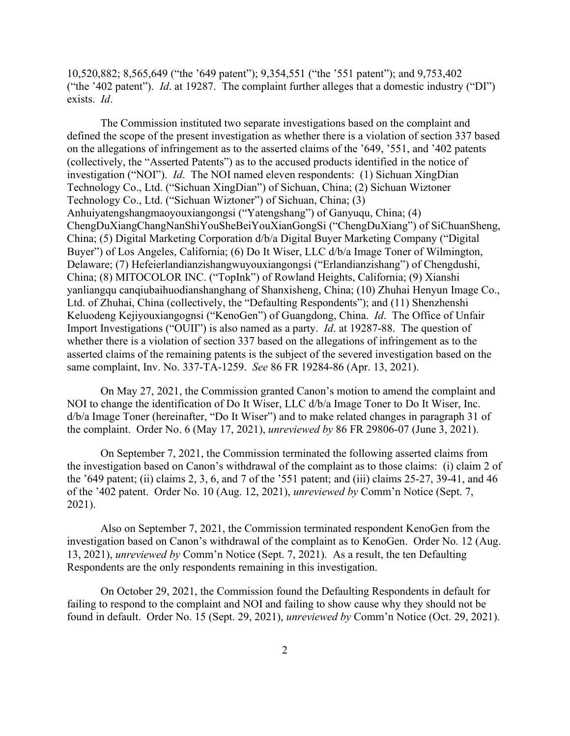10,520,882; 8,565,649 ("the '649 patent"); 9,354,551 ("the '551 patent"); and 9,753,402 ("the '402 patent"). *Id*. at 19287. The complaint further alleges that a domestic industry ("DI") exists. *Id*.

The Commission instituted two separate investigations based on the complaint and defined the scope of the present investigation as whether there is a violation of section 337 based on the allegations of infringement as to the asserted claims of the '649, '551, and '402 patents (collectively, the "Asserted Patents") as to the accused products identified in the notice of investigation ("NOI"). *Id*. The NOI named eleven respondents: (1) Sichuan XingDian Technology Co., Ltd. ("Sichuan XingDian") of Sichuan, China; (2) Sichuan Wiztoner Technology Co., Ltd. ("Sichuan Wiztoner") of Sichuan, China; (3) Anhuiyatengshangmaoyouxiangongsi ("Yatengshang") of Ganyuqu, China; (4) ChengDuXiangChangNanShiYouSheBeiYouXianGongSi ("ChengDuXiang") of SiChuanSheng, China; (5) Digital Marketing Corporation d/b/a Digital Buyer Marketing Company ("Digital Buyer") of Los Angeles, California; (6) Do It Wiser, LLC d/b/a Image Toner of Wilmington, Delaware; (7) Hefeierlandianzishangwuyouxiangongsi ("Erlandianzishang") of Chengdushi, China; (8) MITOCOLOR INC. ("TopInk") of Rowland Heights, California; (9) Xianshi yanliangqu canqiubaihuodianshanghang of Shanxisheng, China; (10) Zhuhai Henyun Image Co., Ltd. of Zhuhai, China (collectively, the "Defaulting Respondents"); and (11) Shenzhenshi Keluodeng Kejiyouxiangognsi ("KenoGen") of Guangdong, China. *Id*. The Office of Unfair Import Investigations ("OUII") is also named as a party. *Id*. at 19287-88. The question of whether there is a violation of section 337 based on the allegations of infringement as to the asserted claims of the remaining patents is the subject of the severed investigation based on the same complaint, Inv. No. 337-TA-1259. *See* 86 FR 19284-86 (Apr. 13, 2021).

On May 27, 2021, the Commission granted Canon's motion to amend the complaint and NOI to change the identification of Do It Wiser, LLC d/b/a Image Toner to Do It Wiser, Inc. d/b/a Image Toner (hereinafter, "Do It Wiser") and to make related changes in paragraph 31 of the complaint. Order No. 6 (May 17, 2021), *unreviewed by* 86 FR 29806-07 (June 3, 2021).

On September 7, 2021, the Commission terminated the following asserted claims from the investigation based on Canon's withdrawal of the complaint as to those claims: (i) claim 2 of the '649 patent; (ii) claims 2, 3, 6, and 7 of the '551 patent; and (iii) claims 25-27, 39-41, and 46 of the '402 patent. Order No. 10 (Aug. 12, 2021), *unreviewed by* Comm'n Notice (Sept. 7, 2021).

Also on September 7, 2021, the Commission terminated respondent KenoGen from the investigation based on Canon's withdrawal of the complaint as to KenoGen. Order No. 12 (Aug. 13, 2021), *unreviewed by* Comm'n Notice (Sept. 7, 2021). As a result, the ten Defaulting Respondents are the only respondents remaining in this investigation.

On October 29, 2021, the Commission found the Defaulting Respondents in default for failing to respond to the complaint and NOI and failing to show cause why they should not be found in default. Order No. 15 (Sept. 29, 2021), *unreviewed by* Comm'n Notice (Oct. 29, 2021).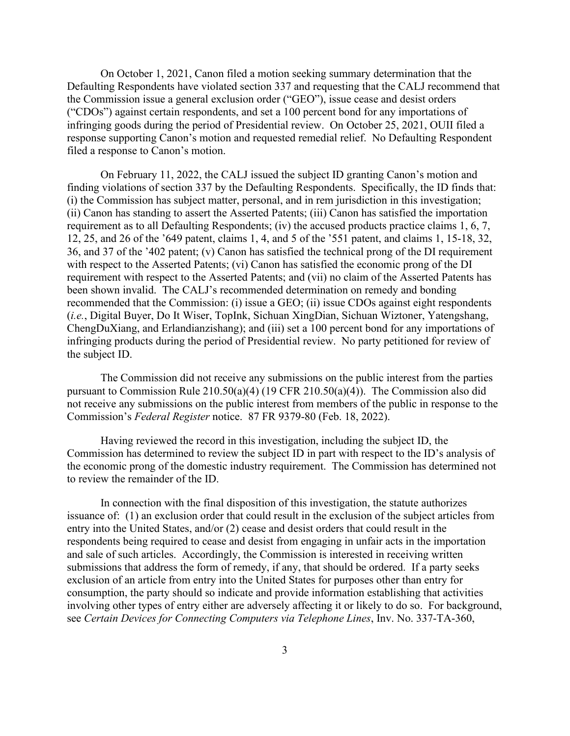On October 1, 2021, Canon filed a motion seeking summary determination that the Defaulting Respondents have violated section 337 and requesting that the CALJ recommend that the Commission issue a general exclusion order ("GEO"), issue cease and desist orders ("CDOs") against certain respondents, and set a 100 percent bond for any importations of infringing goods during the period of Presidential review. On October 25, 2021, OUII filed a response supporting Canon's motion and requested remedial relief. No Defaulting Respondent filed a response to Canon's motion.

On February 11, 2022, the CALJ issued the subject ID granting Canon's motion and finding violations of section 337 by the Defaulting Respondents. Specifically, the ID finds that: (i) the Commission has subject matter, personal, and in rem jurisdiction in this investigation; (ii) Canon has standing to assert the Asserted Patents; (iii) Canon has satisfied the importation requirement as to all Defaulting Respondents; (iv) the accused products practice claims 1, 6, 7, 12, 25, and 26 of the '649 patent, claims 1, 4, and 5 of the '551 patent, and claims 1, 15-18, 32, 36, and 37 of the '402 patent; (v) Canon has satisfied the technical prong of the DI requirement with respect to the Asserted Patents; (vi) Canon has satisfied the economic prong of the DI requirement with respect to the Asserted Patents; and (vii) no claim of the Asserted Patents has been shown invalid. The CALJ's recommended determination on remedy and bonding recommended that the Commission: (i) issue a GEO; (ii) issue CDOs against eight respondents (*i.e.*, Digital Buyer, Do It Wiser, TopInk, Sichuan XingDian, Sichuan Wiztoner, Yatengshang, ChengDuXiang, and Erlandianzishang); and (iii) set a 100 percent bond for any importations of infringing products during the period of Presidential review. No party petitioned for review of the subject ID.

The Commission did not receive any submissions on the public interest from the parties pursuant to Commission Rule 210.50(a)(4) (19 CFR 210.50(a)(4)). The Commission also did not receive any submissions on the public interest from members of the public in response to the Commission's *Federal Register* notice. 87 FR 9379-80 (Feb. 18, 2022).

Having reviewed the record in this investigation, including the subject ID, the Commission has determined to review the subject ID in part with respect to the ID's analysis of the economic prong of the domestic industry requirement. The Commission has determined not to review the remainder of the ID.

In connection with the final disposition of this investigation, the statute authorizes issuance of: (1) an exclusion order that could result in the exclusion of the subject articles from entry into the United States, and/or (2) cease and desist orders that could result in the respondents being required to cease and desist from engaging in unfair acts in the importation and sale of such articles. Accordingly, the Commission is interested in receiving written submissions that address the form of remedy, if any, that should be ordered. If a party seeks exclusion of an article from entry into the United States for purposes other than entry for consumption, the party should so indicate and provide information establishing that activities involving other types of entry either are adversely affecting it or likely to do so. For background, see *Certain Devices for Connecting Computers via Telephone Lines*, Inv. No. 337-TA-360,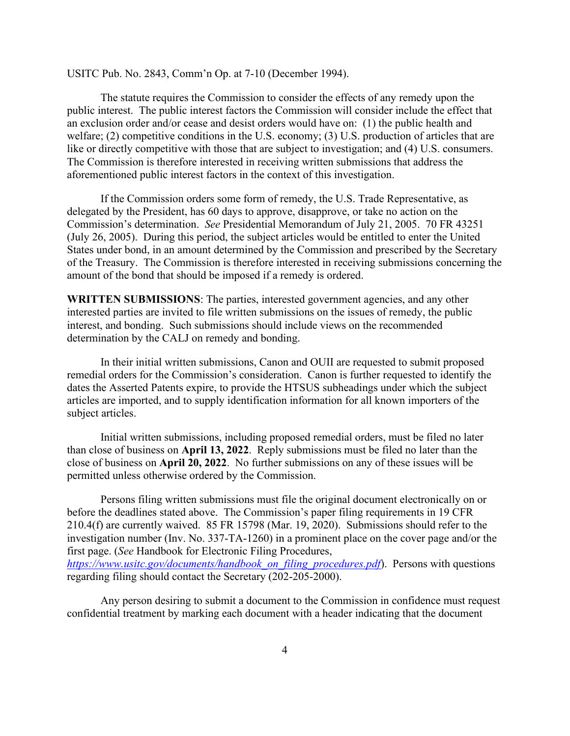USITC Pub. No. 2843, Comm'n Op. at 7-10 (December 1994).

The statute requires the Commission to consider the effects of any remedy upon the public interest. The public interest factors the Commission will consider include the effect that an exclusion order and/or cease and desist orders would have on: (1) the public health and welfare; (2) competitive conditions in the U.S. economy; (3) U.S. production of articles that are like or directly competitive with those that are subject to investigation; and (4) U.S. consumers. The Commission is therefore interested in receiving written submissions that address the aforementioned public interest factors in the context of this investigation.

If the Commission orders some form of remedy, the U.S. Trade Representative, as delegated by the President, has 60 days to approve, disapprove, or take no action on the Commission's determination. *See* Presidential Memorandum of July 21, 2005. 70 FR 43251 (July 26, 2005). During this period, the subject articles would be entitled to enter the United States under bond, in an amount determined by the Commission and prescribed by the Secretary of the Treasury. The Commission is therefore interested in receiving submissions concerning the amount of the bond that should be imposed if a remedy is ordered.

**WRITTEN SUBMISSIONS**: The parties, interested government agencies, and any other interested parties are invited to file written submissions on the issues of remedy, the public interest, and bonding. Such submissions should include views on the recommended determination by the CALJ on remedy and bonding.

In their initial written submissions, Canon and OUII are requested to submit proposed remedial orders for the Commission's consideration. Canon is further requested to identify the dates the Asserted Patents expire, to provide the HTSUS subheadings under which the subject articles are imported, and to supply identification information for all known importers of the subject articles.

Initial written submissions, including proposed remedial orders, must be filed no later than close of business on **April 13, 2022**. Reply submissions must be filed no later than the close of business on **April 20, 2022**. No further submissions on any of these issues will be permitted unless otherwise ordered by the Commission.

Persons filing written submissions must file the original document electronically on or before the deadlines stated above. The Commission's paper filing requirements in 19 CFR 210.4(f) are currently waived. 85 FR 15798 (Mar. 19, 2020). Submissions should refer to the investigation number (Inv. No. 337-TA-1260) in a prominent place on the cover page and/or the first page. (*See* Handbook for Electronic Filing Procedures,

*[https://www.usitc.gov/documents/handbook\\_on\\_filing\\_procedures.pdf](https://www.usitc.gov/documents/handbook_on_filing_procedures.pdf)*). Persons with questions regarding filing should contact the Secretary (202-205-2000).

Any person desiring to submit a document to the Commission in confidence must request confidential treatment by marking each document with a header indicating that the document